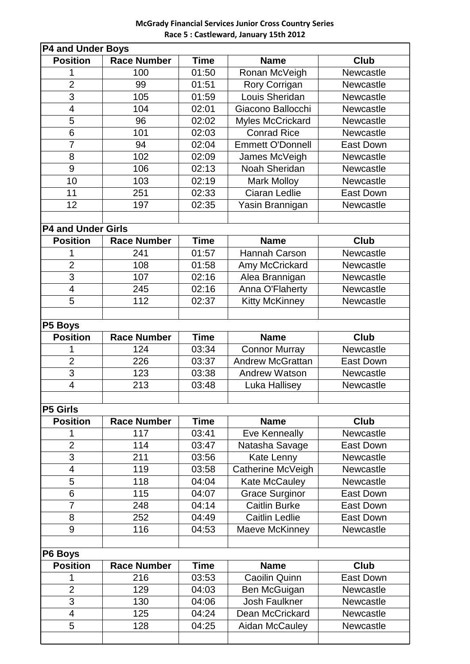## **McGrady Financial Services Junior Cross Country Series Race 5 : Castleward, January 15th 2012**

| P4 and Under Boys         |                    |             |                         |                  |  |  |
|---------------------------|--------------------|-------------|-------------------------|------------------|--|--|
| <b>Position</b>           | <b>Race Number</b> | <b>Time</b> | <b>Name</b>             | <b>Club</b>      |  |  |
| 1                         | 100                | 01:50       | Ronan McVeigh           | Newcastle        |  |  |
| $\overline{2}$            | 99                 | 01:51       | Rory Corrigan           | Newcastle        |  |  |
| 3                         | 105                | 01:59       | Louis Sheridan          | Newcastle        |  |  |
| $\overline{\mathbf{4}}$   | 104                | 02:01       | Giacono Ballocchi       | Newcastle        |  |  |
| 5                         | 96                 | 02:02       | <b>Myles McCrickard</b> | Newcastle        |  |  |
| 6                         | 101                | 02:03       | <b>Conrad Rice</b>      | Newcastle        |  |  |
| $\overline{7}$            | 94                 | 02:04       | <b>Emmett O'Donnell</b> | <b>East Down</b> |  |  |
| 8                         | 102                | 02:09       | James McVeigh           | Newcastle        |  |  |
| 9                         | 106                | 02:13       | Noah Sheridan           | Newcastle        |  |  |
| 10                        | 103                | 02:19       | <b>Mark Molloy</b>      | Newcastle        |  |  |
| 11                        | 251                | 02:33       | <b>Ciaran Ledlie</b>    | East Down        |  |  |
| 12                        | 197                | 02:35       | Yasin Brannigan         | Newcastle        |  |  |
|                           |                    |             |                         |                  |  |  |
| <b>P4 and Under Girls</b> |                    |             |                         |                  |  |  |
| <b>Position</b>           | <b>Race Number</b> | <b>Time</b> | <b>Name</b>             | <b>Club</b>      |  |  |
| 1                         | 241                | 01:57       | Hannah Carson           | Newcastle        |  |  |
| $\overline{2}$            | 108                | 01:58       | Amy McCrickard          | Newcastle        |  |  |
| $\overline{3}$            | 107                | 02:16       | Alea Brannigan          | Newcastle        |  |  |
| $\overline{4}$            | 245                | 02:16       | Anna O'Flaherty         | Newcastle        |  |  |
| 5                         | 112                | 02:37       | <b>Kitty McKinney</b>   | Newcastle        |  |  |
|                           |                    |             |                         |                  |  |  |
| P5 Boys                   |                    |             |                         |                  |  |  |
| <b>Position</b>           | <b>Race Number</b> | <b>Time</b> | <b>Name</b>             | <b>Club</b>      |  |  |
| 1                         | 124                | 03:34       | <b>Connor Murray</b>    | Newcastle        |  |  |
| $\overline{2}$            | 226                | 03:37       | <b>Andrew McGrattan</b> | <b>East Down</b> |  |  |
| $\overline{3}$            | 123                | 03:38       | <b>Andrew Watson</b>    | Newcastle        |  |  |
| $\overline{\mathcal{A}}$  | 213                | 03:48       | Luka Hallisey           | Newcastle        |  |  |
|                           |                    |             |                         |                  |  |  |
| <b>P5 Girls</b>           |                    |             |                         |                  |  |  |
| <b>Position</b>           | <b>Race Number</b> | <b>Time</b> | <b>Name</b>             | <b>Club</b>      |  |  |
| 1                         | 117                | 03:41       | <b>Eve Kenneally</b>    | Newcastle        |  |  |
| $\overline{2}$            | 114                | 03:47       | Natasha Savage          | <b>East Down</b> |  |  |
| 3                         | 211                | 03:56       | Kate Lenny              | Newcastle        |  |  |
| $\overline{4}$            | 119                | 03:58       | Catherine McVeigh       | Newcastle        |  |  |
| 5                         | 118                | 04:04       | <b>Kate McCauley</b>    | Newcastle        |  |  |
| 6                         | 115                | 04:07       | <b>Grace Surginor</b>   | East Down        |  |  |
| $\overline{7}$            | 248                | 04:14       | <b>Caitlin Burke</b>    | <b>East Down</b> |  |  |
| 8                         | 252                | 04:49       | <b>Caitlin Ledlie</b>   | East Down        |  |  |
| 9                         | 116                | 04:53       | Maeve McKinney          | Newcastle        |  |  |
|                           |                    |             |                         |                  |  |  |
| P6 Boys                   |                    |             |                         |                  |  |  |
| <b>Position</b>           | <b>Race Number</b> | <b>Time</b> | <b>Name</b>             | <b>Club</b>      |  |  |
| 1                         | 216                | 03:53       | Caoilin Quinn           | East Down        |  |  |
| $\overline{2}$            | 129                | 04:03       | Ben McGuigan            | Newcastle        |  |  |
| 3                         | 130                | 04:06       | <b>Josh Faulkner</b>    | Newcastle        |  |  |
| 4                         | 125                | 04:24       | Dean McCrickard         | Newcastle        |  |  |
| 5                         | 128                | 04:25       | Aidan McCauley          | Newcastle        |  |  |
|                           |                    |             |                         |                  |  |  |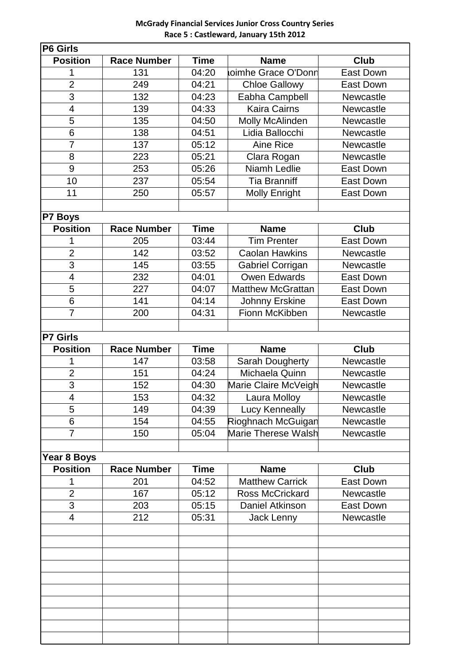## **McGrady Financial Services Junior Cross Country Series Race 5 : Castleward, January 15th 2012**

| P6 Girls                 |                    |             |                          |                  |  |  |  |
|--------------------------|--------------------|-------------|--------------------------|------------------|--|--|--|
| <b>Position</b>          | <b>Race Number</b> | <b>Time</b> | <b>Name</b>              | <b>Club</b>      |  |  |  |
| 1                        | 131                | 04:20       | oimhe Grace O'Donn       | <b>East Down</b> |  |  |  |
| $\overline{2}$           | 249                | 04:21       | <b>Chloe Gallowy</b>     | <b>East Down</b> |  |  |  |
| 3                        | 132                | 04:23       | Eabha Campbell           | <b>Newcastle</b> |  |  |  |
| $\overline{\mathcal{A}}$ | 139                | 04:33       | <b>Kaira Cairns</b>      | Newcastle        |  |  |  |
| 5                        | 135                | 04:50       | Molly McAlinden          | Newcastle        |  |  |  |
| 6                        | 138                | 04:51       | Lidia Ballocchi          | Newcastle        |  |  |  |
| $\overline{7}$           | 137                | 05:12       | Aine Rice                | Newcastle        |  |  |  |
| 8                        | 223                | 05:21       | Clara Rogan              | Newcastle        |  |  |  |
| 9                        | 253                | 05:26       | <b>Niamh Ledlie</b>      | <b>East Down</b> |  |  |  |
| 10                       | 237                | 05:54       | <b>Tia Branniff</b>      | <b>East Down</b> |  |  |  |
| 11                       | 250                | 05:57       | <b>Molly Enright</b>     | <b>East Down</b> |  |  |  |
|                          |                    |             |                          |                  |  |  |  |
| P7 Boys                  |                    |             |                          |                  |  |  |  |
| <b>Position</b>          | <b>Race Number</b> | <b>Time</b> | <b>Name</b>              | <b>Club</b>      |  |  |  |
| 1                        | 205                | 03:44       | <b>Tim Prenter</b>       | <b>East Down</b> |  |  |  |
| $\overline{2}$           | 142                | 03:52       | <b>Caolan Hawkins</b>    | Newcastle        |  |  |  |
| $\overline{3}$           | 145                | 03:55       | Gabriel Corrigan         | Newcastle        |  |  |  |
| $\overline{\mathbf{4}}$  | 232                | 04:01       | Owen Edwards             | <b>East Down</b> |  |  |  |
| 5                        | 227                | 04:07       | <b>Matthew McGrattan</b> | <b>East Down</b> |  |  |  |
| $6\phantom{1}6$          | 141                | 04:14       | Johnny Erskine           | <b>East Down</b> |  |  |  |
| $\overline{7}$           | 200                | 04:31       | Fionn McKibben           | Newcastle        |  |  |  |
|                          |                    |             |                          |                  |  |  |  |
| <b>P7 Girls</b>          |                    |             |                          |                  |  |  |  |
| <b>Position</b>          | <b>Race Number</b> | <b>Time</b> | <b>Name</b>              | <b>Club</b>      |  |  |  |
| 1                        | 147                | 03:58       | <b>Sarah Dougherty</b>   | Newcastle        |  |  |  |
| $\overline{2}$           | 151                | 04:24       | Michaela Quinn           | Newcastle        |  |  |  |
| $\overline{3}$           | 152                | 04:30       | Marie Claire McVeigh     | Newcastle        |  |  |  |
|                          |                    |             |                          |                  |  |  |  |
| 4                        | 153                | 04:32       | Laura Molloy             | Newcastle        |  |  |  |
| 5                        | 149                | 04:39       | <b>Lucy Kenneally</b>    | Newcastle        |  |  |  |
| 6                        | 154                | 04:55       | Rioghnach McGuigan       | Newcastle        |  |  |  |
| $\overline{7}$           | 150                | 05:04       | Marie Therese Walsh      | Newcastle        |  |  |  |
|                          |                    |             |                          |                  |  |  |  |
| Year 8 Boys              |                    |             |                          |                  |  |  |  |
| <b>Position</b>          | <b>Race Number</b> | <b>Time</b> | <b>Name</b>              | Club             |  |  |  |
| 1                        | 201                | 04:52       | <b>Matthew Carrick</b>   | <b>East Down</b> |  |  |  |
| $\overline{2}$           | 167                | 05:12       | <b>Ross McCrickard</b>   | Newcastle        |  |  |  |
| 3                        | 203                | 05:15       | Daniel Atkinson          | <b>East Down</b> |  |  |  |
| 4                        | 212                | 05:31       | Jack Lenny               | Newcastle        |  |  |  |
|                          |                    |             |                          |                  |  |  |  |
|                          |                    |             |                          |                  |  |  |  |
|                          |                    |             |                          |                  |  |  |  |
|                          |                    |             |                          |                  |  |  |  |
|                          |                    |             |                          |                  |  |  |  |
|                          |                    |             |                          |                  |  |  |  |
|                          |                    |             |                          |                  |  |  |  |
|                          |                    |             |                          |                  |  |  |  |
|                          |                    |             |                          |                  |  |  |  |